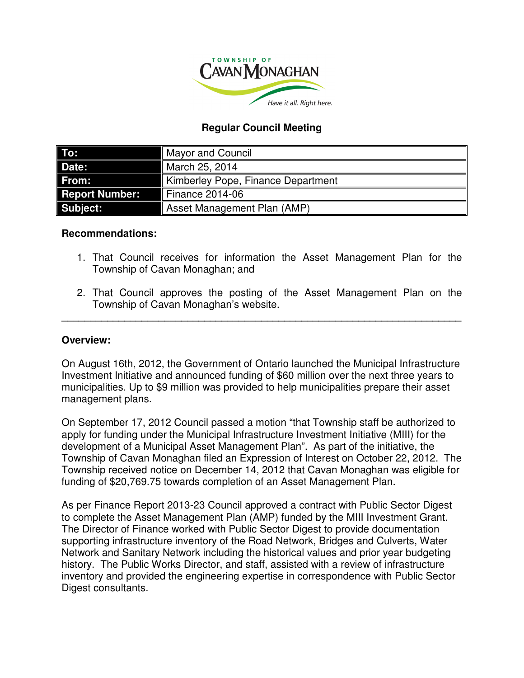

# **Regular Council Meeting**

| To:                   | <b>Mayor and Council</b>           |
|-----------------------|------------------------------------|
| Date:                 | March 25, 2014                     |
| From:                 | Kimberley Pope, Finance Department |
| <b>Report Number:</b> | <b>Finance 2014-06</b>             |
| Subject:              | Asset Management Plan (AMP)        |

### **Recommendations:**

- 1. That Council receives for information the Asset Management Plan for the Township of Cavan Monaghan; and
- 2. That Council approves the posting of the Asset Management Plan on the Township of Cavan Monaghan's website.

**\_\_\_\_\_\_\_\_\_\_\_\_\_\_\_\_\_\_\_\_\_\_\_\_\_\_\_\_\_\_\_\_\_\_\_\_\_\_\_\_\_\_\_\_\_\_\_\_\_\_\_\_\_\_\_\_\_\_\_\_\_\_\_\_\_\_\_\_\_\_** 

## **Overview:**

On August 16th, 2012, the Government of Ontario launched the Municipal Infrastructure Investment Initiative and announced funding of \$60 million over the next three years to municipalities. Up to \$9 million was provided to help municipalities prepare their asset management plans.

On September 17, 2012 Council passed a motion "that Township staff be authorized to apply for funding under the Municipal Infrastructure Investment Initiative (MIII) for the development of a Municipal Asset Management Plan". As part of the initiative, the Township of Cavan Monaghan filed an Expression of Interest on October 22, 2012. The Township received notice on December 14, 2012 that Cavan Monaghan was eligible for funding of \$20,769.75 towards completion of an Asset Management Plan.

As per Finance Report 2013-23 Council approved a contract with Public Sector Digest to complete the Asset Management Plan (AMP) funded by the MIII Investment Grant. The Director of Finance worked with Public Sector Digest to provide documentation supporting infrastructure inventory of the Road Network, Bridges and Culverts, Water Network and Sanitary Network including the historical values and prior year budgeting history. The Public Works Director, and staff, assisted with a review of infrastructure inventory and provided the engineering expertise in correspondence with Public Sector Digest consultants.